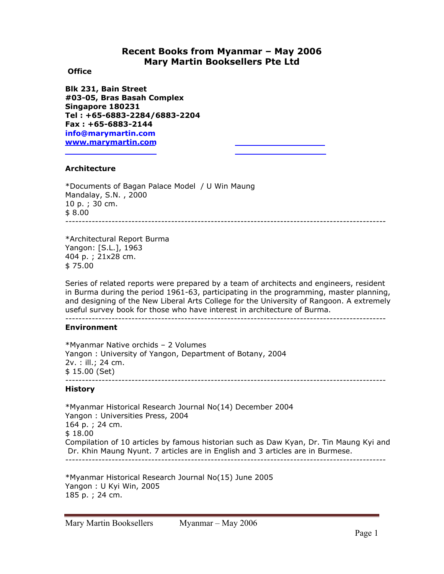# **Recent Books from Myanmar – May 2006 Mary Martin Booksellers Pte Ltd**

## **Office**

**Blk 231, Bain Street #03-05, Bras Basah Complex Singapore 180231 Tel : +65-6883-2284/6883-2204 Fax : +65-6883-2144 info@marymartin.com www.marymartin.com**

## **Architecture**

\*Documents of Bagan Palace Model / U Win Maung Mandalay, S.N. , 2000 10 p. ; 30 cm. \$ 8.00 *-------------------------------------------------------------------------------------------------* 

\*Architectural Report Burma Yangon: [S.L.], 1963 404 p. ; 21x28 cm. \$ 75.00

Series of related reports were prepared by a team of architects and engineers, resident in Burma during the period 1961-63, participating in the programming, master planning, and designing of the New Liberal Arts College for the University of Rangoon. A extremely useful survey book for those who have interest in architecture of Burma. *-------------------------------------------------------------------------------------------------* 

## **Environment**

\*Myanmar Native orchids – 2 Volumes Yangon : University of Yangon, Department of Botany, 2004 2v. : ill.; 24 cm. \$ 15.00 (Set) *-------------------------------------------------------------------------------------------------* 

## **History**

\*Myanmar Historical Research Journal No(14) December 2004 Yangon : Universities Press, 2004 164 p. ; 24 cm. \$ 18.00 Compilation of 10 articles by famous historian such as Daw Kyan, Dr. Tin Maung Kyi and Dr. Khin Maung Nyunt. 7 articles are in English and 3 articles are in Burmese. *-------------------------------------------------------------------------------------------------* 

\*Myanmar Historical Research Journal No(15) June 2005 Yangon : U Kyi Win, 2005 185 p. ; 24 cm.